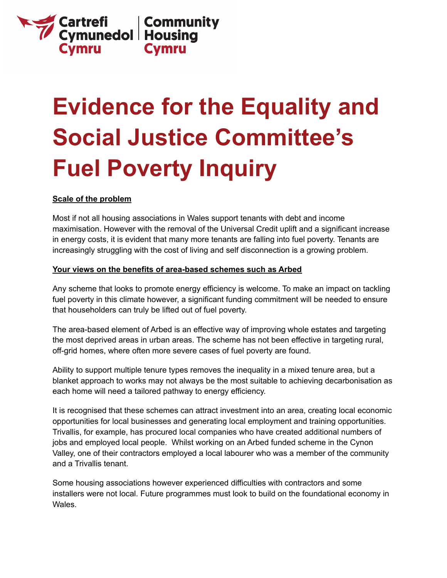

# **Evidence for the Equality and Social Justice Committee's Fuel Poverty Inquiry**

#### **Scale of the problem**

Most if not all housing associations in Wales support tenants with debt and income maximisation. However with the removal of the Universal Credit uplift and a significant increase in energy costs, it is evident that many more tenants are falling into fuel poverty. Tenants are increasingly struggling with the cost of living and self disconnection is a growing problem.

#### **Your views on the benefits of area-based schemes such as Arbed**

Any scheme that looks to promote energy efficiency is welcome. To make an impact on tackling fuel poverty in this climate however, a significant funding commitment will be needed to ensure that householders can truly be lifted out of fuel poverty.

The area-based element of Arbed is an effective way of improving whole estates and targeting the most deprived areas in urban areas. The scheme has not been effective in targeting rural, off-grid homes, where often more severe cases of fuel poverty are found.

Ability to support multiple tenure types removes the inequality in a mixed tenure area, but a blanket approach to works may not always be the most suitable to achieving decarbonisation as each home will need a tailored pathway to energy efficiency.

It is recognised that these schemes can attract investment into an area, creating local economic opportunities for local businesses and generating local employment and training opportunities. Trivallis, for example, has procured local companies who have created additional numbers of jobs and employed local people. Whilst working on an Arbed funded scheme in the Cynon Valley, one of their contractors employed a local labourer who was a member of the community and a Trivallis tenant.

Some housing associations however experienced difficulties with contractors and some installers were not local. Future programmes must look to build on the foundational economy in Wales.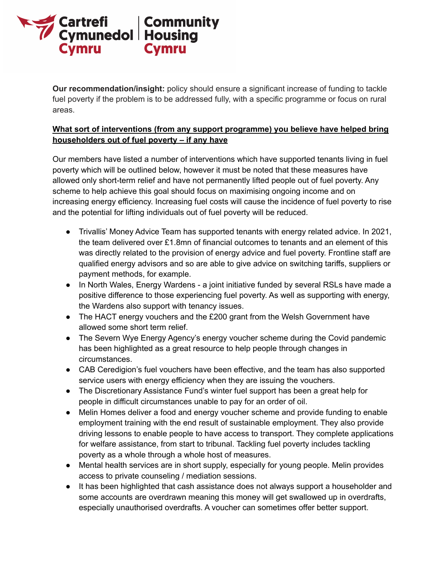

**Our recommendation/insight:** policy should ensure a significant increase of funding to tackle fuel poverty if the problem is to be addressed fully, with a specific programme or focus on rural areas.

# **What sort of interventions (from any support programme) you believe have helped bring householders out of fuel poverty – if any have**

Our members have listed a number of interventions which have supported tenants living in fuel poverty which will be outlined below, however it must be noted that these measures have allowed only short-term relief and have not permanently lifted people out of fuel poverty. Any scheme to help achieve this goal should focus on maximising ongoing income and on increasing energy efficiency. Increasing fuel costs will cause the incidence of fuel poverty to rise and the potential for lifting individuals out of fuel poverty will be reduced.

- Trivallis' Money Advice Team has supported tenants with energy related advice. In 2021, the team delivered over £1.8mn of financial outcomes to tenants and an element of this was directly related to the provision of energy advice and fuel poverty. Frontline staff are qualified energy advisors and so are able to give advice on switching tariffs, suppliers or payment methods, for example.
- In North Wales, Energy Wardens a joint initiative funded by several RSLs have made a positive difference to those experiencing fuel poverty. As well as supporting with energy, the Wardens also support with tenancy issues.
- The HACT energy vouchers and the £200 grant from the Welsh Government have allowed some short term relief.
- The Severn Wye Energy Agency's energy voucher scheme during the Covid pandemic has been highlighted as a great resource to help people through changes in circumstances.
- CAB Ceredigion's fuel vouchers have been effective, and the team has also supported service users with energy efficiency when they are issuing the vouchers.
- The Discretionary Assistance Fund's winter fuel support has been a great help for people in difficult circumstances unable to pay for an order of oil.
- Melin Homes deliver a food and energy voucher scheme and provide funding to enable employment training with the end result of sustainable employment. They also provide driving lessons to enable people to have access to transport. They complete applications for welfare assistance, from start to tribunal. Tackling fuel poverty includes tackling poverty as a whole through a whole host of measures.
- Mental health services are in short supply, especially for young people. Melin provides access to private counseling / mediation sessions.
- It has been highlighted that cash assistance does not always support a householder and some accounts are overdrawn meaning this money will get swallowed up in overdrafts, especially unauthorised overdrafts. A voucher can sometimes offer better support.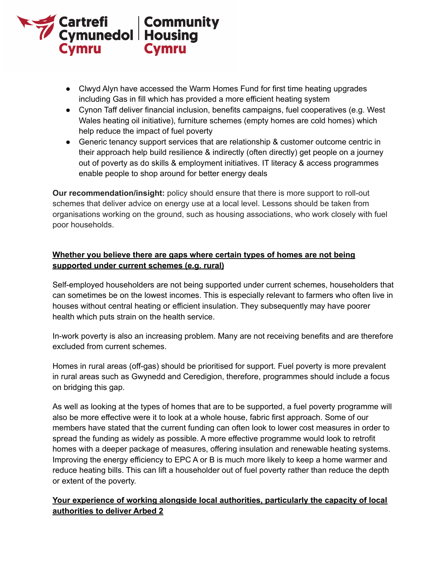

- Clwyd Alyn have accessed the Warm Homes Fund for first time heating upgrades including Gas in fill which has provided a more efficient heating system
- Cynon Taff deliver financial inclusion, benefits campaigns, fuel cooperatives (e.g. West Wales heating oil initiative), furniture schemes (empty homes are cold homes) which help reduce the impact of fuel poverty
- Generic tenancy support services that are relationship & customer outcome centric in their approach help build resilience & indirectly (often directly) get people on a journey out of poverty as do skills & employment initiatives. IT literacy & access programmes enable people to shop around for better energy deals

**Our recommendation/insight:** policy should ensure that there is more support to roll-out schemes that deliver advice on energy use at a local level. Lessons should be taken from organisations working on the ground, such as housing associations, who work closely with fuel poor households.

## **Whether you believe there are gaps where certain types of homes are not being supported under current schemes (e.g. rural)**

Self-employed householders are not being supported under current schemes, householders that can sometimes be on the lowest incomes. This is especially relevant to farmers who often live in houses without central heating or efficient insulation. They subsequently may have poorer health which puts strain on the health service.

In-work poverty is also an increasing problem. Many are not receiving benefits and are therefore excluded from current schemes.

Homes in rural areas (off-gas) should be prioritised for support. Fuel poverty is more prevalent in rural areas such as Gwynedd and Ceredigion, therefore, programmes should include a focus on bridging this gap.

As well as looking at the types of homes that are to be supported, a fuel poverty programme will also be more effective were it to look at a whole house, fabric first approach. Some of our members have stated that the current funding can often look to lower cost measures in order to spread the funding as widely as possible. A more effective programme would look to retrofit homes with a deeper package of measures, offering insulation and renewable heating systems. Improving the energy efficiency to EPC A or B is much more likely to keep a home warmer and reduce heating bills. This can lift a householder out of fuel poverty rather than reduce the depth or extent of the poverty.

# **Your experience of working alongside local authorities, particularly the capacity of local authorities to deliver Arbed 2**